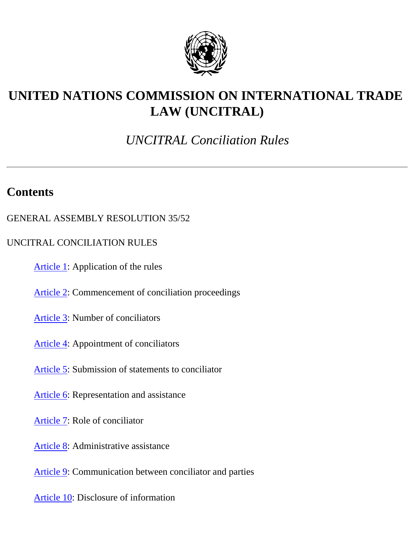

# **UNITED NATIONS COMMISSION ON INTERNATIONAL TRADE LAW (UNCITRAL)**

## *UNCITRAL Conciliation Rules*

## **Contents**

- GENERAL ASSEMBLY RESOLUTION 35/52
- UNCITRAL CONCILIATION RULES
	- [Article 1](#page-2-0): Application of the rules
	- [Article 2](#page-2-1): Commencement of conciliation proceedings
	- [Article 3](#page-3-0): Number of conciliators
	- [Article 4](#page-3-1): Appointment of conciliators
	- [Article 5](#page-4-0): Submission of statements to conciliator
	- [Article 6](#page-4-1): Representation and assistance
	- [Article 7](#page-4-2): Role of conciliator
	- [Article 8](#page-5-0): Administrative assistance
	- [Article 9](#page-5-1): Communication between conciliator and parties
	- [Article 10](#page-6-0): Disclosure of information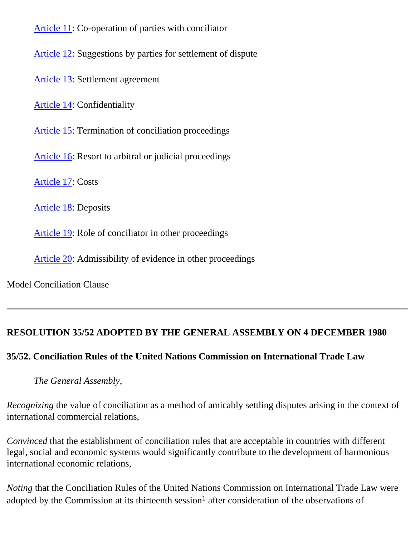[Article 11](#page-6-1): Co-operation of parties with conciliator

[Article 12](#page-6-2): Suggestions by parties for settlement of dispute

[Article 13](#page-6-3): Settlement agreement

[Article 14](#page-7-0): Confidentiality

[Article 15](#page-7-1): Termination of conciliation proceedings

[Article 16](#page-8-0): Resort to arbitral or judicial proceedings

[Article 17](#page-8-1): Costs

[Article 18](#page-9-0): Deposits

[Article 19](#page-9-1): Role of conciliator in other proceedings

[Article 20](#page-9-2): Admissibility of evidence in other proceedings

Model Conciliation Clause

## **RESOLUTION 35/52 ADOPTED BY THE GENERAL ASSEMBLY ON 4 DECEMBER 1980**

## **35/52. Conciliation Rules of the United Nations Commission on International Trade Law**

*The General Assembly*,

*Recognizing* the value of conciliation as a method of amicably settling disputes arising in the context of international commercial relations,

*Convinced* that the establishment of conciliation rules that are acceptable in countries with different legal, social and economic systems would significantly contribute to the development of harmonious international economic relations,

*Noting* that the Conciliation Rules of the United Nations Commission on International Trade Law were adopted by the Commission at its thirteenth session<sup>1</sup> after consideration of the observations of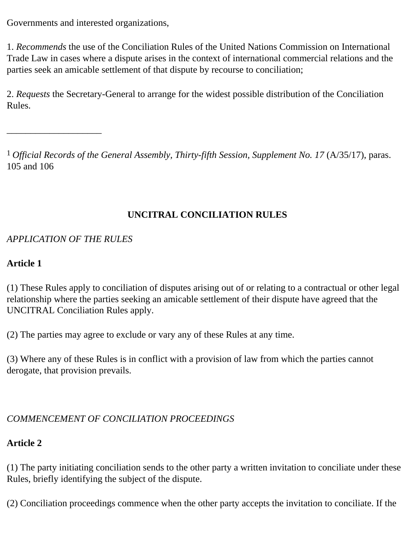Governments and interested organizations,

1. *Recommends* the use of the Conciliation Rules of the United Nations Commission on International Trade Law in cases where a dispute arises in the context of international commercial relations and the parties seek an amicable settlement of that dispute by recourse to conciliation;

2. *Requests* the Secretary-General to arrange for the widest possible distribution of the Conciliation Rules.

1 *Official Records of the General Assembly, Thirty-fifth Session, Supplement No. 17* (A/35/17), paras. 105 and 106

## **UNCITRAL CONCILIATION RULES**

## *APPLICATION OF THE RULES*

\_\_\_\_\_\_\_\_\_\_\_\_\_\_\_\_\_\_\_\_

## <span id="page-2-0"></span>**Article 1**

(1) These Rules apply to conciliation of disputes arising out of or relating to a contractual or other legal relationship where the parties seeking an amicable settlement of their dispute have agreed that the UNCITRAL Conciliation Rules apply.

(2) The parties may agree to exclude or vary any of these Rules at any time.

(3) Where any of these Rules is in conflict with a provision of law from which the parties cannot derogate, that provision prevails.

## *COMMENCEMENT OF CONCILIATION PROCEEDINGS*

## <span id="page-2-1"></span>**Article 2**

(1) The party initiating conciliation sends to the other party a written invitation to conciliate under these Rules, briefly identifying the subject of the dispute.

(2) Conciliation proceedings commence when the other party accepts the invitation to conciliate. If the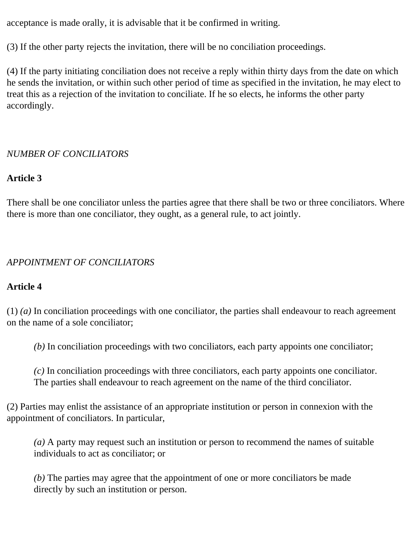acceptance is made orally, it is advisable that it be confirmed in writing.

(3) If the other party rejects the invitation, there will be no conciliation proceedings.

(4) If the party initiating conciliation does not receive a reply within thirty days from the date on which he sends the invitation, or within such other period of time as specified in the invitation, he may elect to treat this as a rejection of the invitation to conciliate. If he so elects, he informs the other party accordingly.

## *NUMBER OF CONCILIATORS*

## <span id="page-3-0"></span>**Article 3**

There shall be one conciliator unless the parties agree that there shall be two or three conciliators. Where there is more than one conciliator, they ought, as a general rule, to act jointly.

## *APPOINTMENT OF CONCILIATORS*

## <span id="page-3-1"></span>**Article 4**

(1) *(a)* In conciliation proceedings with one conciliator, the parties shall endeavour to reach agreement on the name of a sole conciliator;

*(b)* In conciliation proceedings with two conciliators, each party appoints one conciliator;

*(c)* In conciliation proceedings with three conciliators, each party appoints one conciliator. The parties shall endeavour to reach agreement on the name of the third conciliator.

(2) Parties may enlist the assistance of an appropriate institution or person in connexion with the appointment of conciliators. In particular,

*(a)* A party may request such an institution or person to recommend the names of suitable individuals to act as conciliator; or

*(b)* The parties may agree that the appointment of one or more conciliators be made directly by such an institution or person.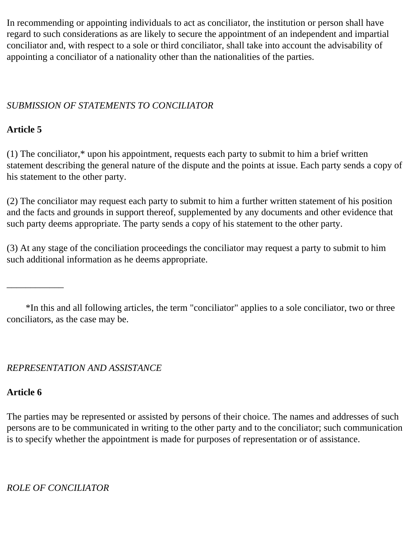In recommending or appointing individuals to act as conciliator, the institution or person shall have regard to such considerations as are likely to secure the appointment of an independent and impartial conciliator and, with respect to a sole or third conciliator, shall take into account the advisability of appointing a conciliator of a nationality other than the nationalities of the parties.

## *SUBMISSION OF STATEMENTS TO CONCILIATOR*

## <span id="page-4-0"></span>**Article 5**

(1) The conciliator,\* upon his appointment, requests each party to submit to him a brief written statement describing the general nature of the dispute and the points at issue. Each party sends a copy of his statement to the other party.

(2) The conciliator may request each party to submit to him a further written statement of his position and the facts and grounds in support thereof, supplemented by any documents and other evidence that such party deems appropriate. The party sends a copy of his statement to the other party.

(3) At any stage of the conciliation proceedings the conciliator may request a party to submit to him such additional information as he deems appropriate.

 \*In this and all following articles, the term "conciliator" applies to a sole conciliator, two or three conciliators, as the case may be.

## *REPRESENTATION AND ASSISTANCE*

## <span id="page-4-1"></span>**Article 6**

\_\_\_\_\_\_\_\_\_\_\_\_

The parties may be represented or assisted by persons of their choice. The names and addresses of such persons are to be communicated in writing to the other party and to the conciliator; such communication is to specify whether the appointment is made for purposes of representation or of assistance.

<span id="page-4-2"></span>*ROLE OF CONCILIATOR*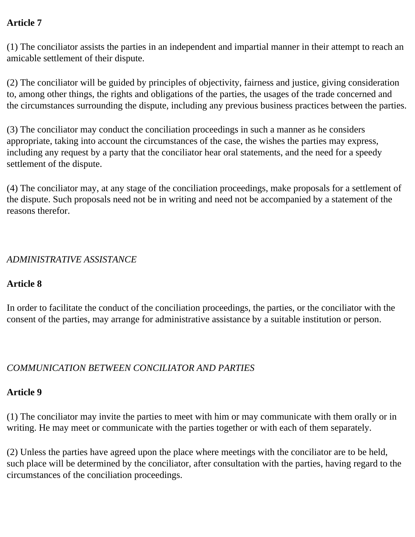## **Article 7**

(1) The conciliator assists the parties in an independent and impartial manner in their attempt to reach an amicable settlement of their dispute.

(2) The conciliator will be guided by principles of objectivity, fairness and justice, giving consideration to, among other things, the rights and obligations of the parties, the usages of the trade concerned and the circumstances surrounding the dispute, including any previous business practices between the parties.

(3) The conciliator may conduct the conciliation proceedings in such a manner as he considers appropriate, taking into account the circumstances of the case, the wishes the parties may express, including any request by a party that the conciliator hear oral statements, and the need for a speedy settlement of the dispute.

(4) The conciliator may, at any stage of the conciliation proceedings, make proposals for a settlement of the dispute. Such proposals need not be in writing and need not be accompanied by a statement of the reasons therefor.

#### *ADMINISTRATIVE ASSISTANCE*

#### <span id="page-5-0"></span>**Article 8**

In order to facilitate the conduct of the conciliation proceedings, the parties, or the conciliator with the consent of the parties, may arrange for administrative assistance by a suitable institution or person.

## *COMMUNICATION BETWEEN CONCILIATOR AND PARTIES*

#### <span id="page-5-1"></span>**Article 9**

(1) The conciliator may invite the parties to meet with him or may communicate with them orally or in writing. He may meet or communicate with the parties together or with each of them separately.

(2) Unless the parties have agreed upon the place where meetings with the conciliator are to be held, such place will be determined by the conciliator, after consultation with the parties, having regard to the circumstances of the conciliation proceedings.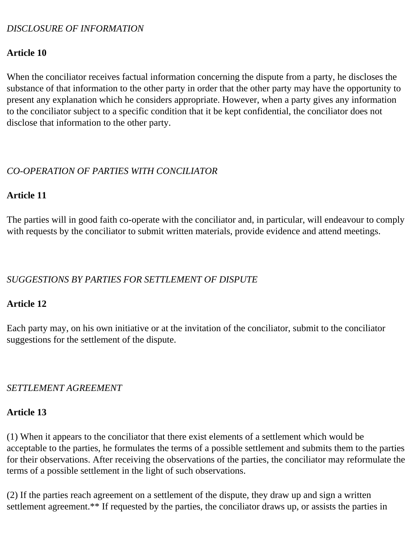#### *DISCLOSURE OF INFORMATION*

#### <span id="page-6-0"></span>**Article 10**

When the conciliator receives factual information concerning the dispute from a party, he discloses the substance of that information to the other party in order that the other party may have the opportunity to present any explanation which he considers appropriate. However, when a party gives any information to the conciliator subject to a specific condition that it be kept confidential, the conciliator does not disclose that information to the other party.

#### *CO-OPERATION OF PARTIES WITH CONCILIATOR*

#### <span id="page-6-1"></span>**Article 11**

The parties will in good faith co-operate with the conciliator and, in particular, will endeavour to comply with requests by the conciliator to submit written materials, provide evidence and attend meetings.

#### *SUGGESTIONS BY PARTIES FOR SETTLEMENT OF DISPUTE*

#### <span id="page-6-2"></span>**Article 12**

Each party may, on his own initiative or at the invitation of the conciliator, submit to the conciliator suggestions for the settlement of the dispute.

#### *SETTLEMENT AGREEMENT*

#### <span id="page-6-3"></span>**Article 13**

(1) When it appears to the conciliator that there exist elements of a settlement which would be acceptable to the parties, he formulates the terms of a possible settlement and submits them to the parties for their observations. After receiving the observations of the parties, the conciliator may reformulate the terms of a possible settlement in the light of such observations.

(2) If the parties reach agreement on a settlement of the dispute, they draw up and sign a written settlement agreement.\*\* If requested by the parties, the conciliator draws up, or assists the parties in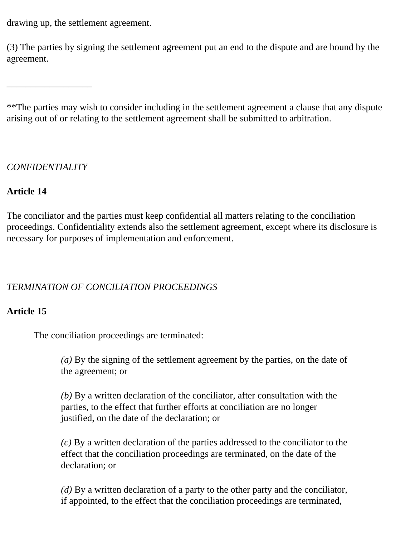drawing up, the settlement agreement.

(3) The parties by signing the settlement agreement put an end to the dispute and are bound by the agreement.

\*\*The parties may wish to consider including in the settlement agreement a clause that any dispute arising out of or relating to the settlement agreement shall be submitted to arbitration.

## *CONFIDENTIALITY*

\_\_\_\_\_\_\_\_\_\_\_\_\_\_\_\_\_\_

#### <span id="page-7-0"></span>**Article 14**

The conciliator and the parties must keep confidential all matters relating to the conciliation proceedings. Confidentiality extends also the settlement agreement, except where its disclosure is necessary for purposes of implementation and enforcement.

## *TERMINATION OF CONCILIATION PROCEEDINGS*

## <span id="page-7-1"></span>**Article 15**

The conciliation proceedings are terminated:

*(a)* By the signing of the settlement agreement by the parties, on the date of the agreement; or

*(b)* By a written declaration of the conciliator, after consultation with the parties, to the effect that further efforts at conciliation are no longer justified, on the date of the declaration; or

*(c)* By a written declaration of the parties addressed to the conciliator to the effect that the conciliation proceedings are terminated, on the date of the declaration; or

*(d)* By a written declaration of a party to the other party and the conciliator, if appointed, to the effect that the conciliation proceedings are terminated,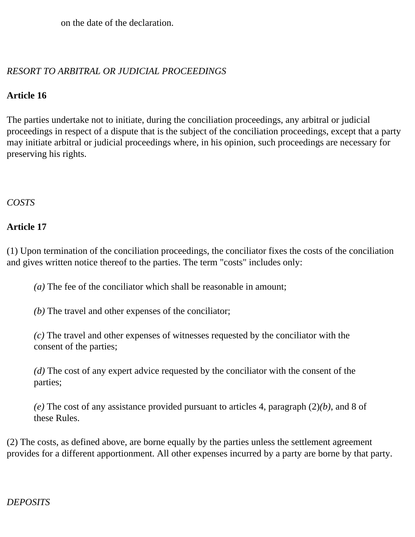on the date of the declaration.

## *RESORT TO ARBITRAL OR JUDICIAL PROCEEDINGS*

## <span id="page-8-0"></span>**Article 16**

The parties undertake not to initiate, during the conciliation proceedings, any arbitral or judicial proceedings in respect of a dispute that is the subject of the conciliation proceedings, except that a party may initiate arbitral or judicial proceedings where, in his opinion, such proceedings are necessary for preserving his rights.

#### *COSTS*

## <span id="page-8-1"></span>**Article 17**

(1) Upon termination of the conciliation proceedings, the conciliator fixes the costs of the conciliation and gives written notice thereof to the parties. The term "costs" includes only:

*(a)* The fee of the conciliator which shall be reasonable in amount;

*(b)* The travel and other expenses of the conciliator;

*(c)* The travel and other expenses of witnesses requested by the conciliator with the consent of the parties;

*(d)* The cost of any expert advice requested by the conciliator with the consent of the parties;

*(e)* The cost of any assistance provided pursuant to articles 4, paragraph (2)*(b)*, and 8 of these Rules.

(2) The costs, as defined above, are borne equally by the parties unless the settlement agreement provides for a different apportionment. All other expenses incurred by a party are borne by that party.

## *DEPOSITS*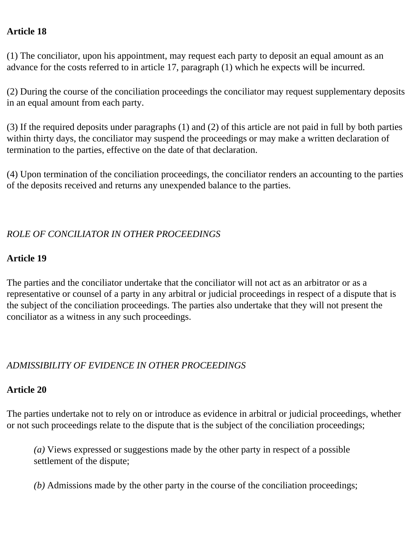#### <span id="page-9-0"></span>**Article 18**

(1) The conciliator, upon his appointment, may request each party to deposit an equal amount as an advance for the costs referred to in article 17, paragraph (1) which he expects will be incurred.

(2) During the course of the conciliation proceedings the conciliator may request supplementary deposits in an equal amount from each party.

(3) If the required deposits under paragraphs (1) and (2) of this article are not paid in full by both parties within thirty days, the conciliator may suspend the proceedings or may make a written declaration of termination to the parties, effective on the date of that declaration.

(4) Upon termination of the conciliation proceedings, the conciliator renders an accounting to the parties of the deposits received and returns any unexpended balance to the parties.

## *ROLE OF CONCILIATOR IN OTHER PROCEEDINGS*

## <span id="page-9-1"></span>**Article 19**

The parties and the conciliator undertake that the conciliator will not act as an arbitrator or as a representative or counsel of a party in any arbitral or judicial proceedings in respect of a dispute that is the subject of the conciliation proceedings. The parties also undertake that they will not present the conciliator as a witness in any such proceedings.

## *ADMISSIBILITY OF EVIDENCE IN OTHER PROCEEDINGS*

## <span id="page-9-2"></span>**Article 20**

The parties undertake not to rely on or introduce as evidence in arbitral or judicial proceedings, whether or not such proceedings relate to the dispute that is the subject of the conciliation proceedings;

*(a)* Views expressed or suggestions made by the other party in respect of a possible settlement of the dispute;

*(b)* Admissions made by the other party in the course of the conciliation proceedings;